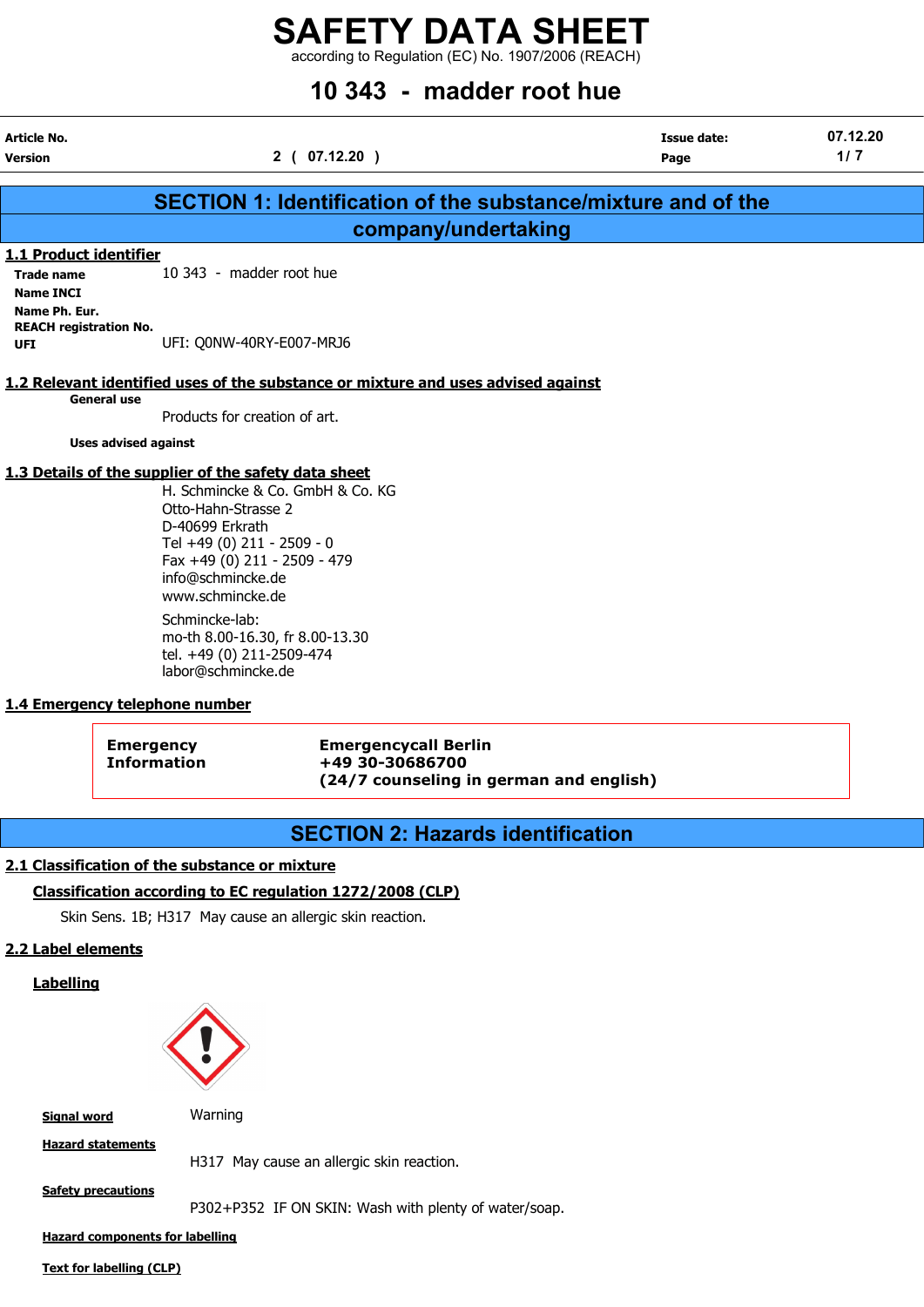according to Regulation (EC) No. 1907/2006 (REACH)

# 10 343 - madder root hue

| Article No.<br>Version | 2(07.12.20)                                                   | Issue date:<br>Page | 07.12.20<br>1/7 |
|------------------------|---------------------------------------------------------------|---------------------|-----------------|
|                        | SECTION 1: Identification of the substance/mixture and of the |                     |                 |
|                        | company/undertaking                                           |                     |                 |
| 1.1 Product identifier |                                                               |                     |                 |
| <b>Trade name</b>      | 10 343 - madder root hue                                      |                     |                 |
| <b>Name INCI</b>       |                                                               |                     |                 |
| Name Ph Fur            |                                                               |                     |                 |

#### 1.2 Relevant identified uses of the substance or mixture and uses advised against

General use

REACH registration No.

Products for creation of art.

Uses advised against

#### 1.3 Details of the supplier of the safety data sheet

UFI: Q0NW-40RY-E007-MRJ6

H. Schmincke & Co. GmbH & Co. KG Otto-Hahn-Strasse 2 D-40699 Erkrath Tel +49 (0) 211 - 2509 - 0 Fax +49 (0) 211 - 2509 - 479 info@schmincke.de www.schmincke.de Schmincke-lab: mo-th 8.00-16.30, fr 8.00-13.30 tel. +49 (0) 211-2509-474 labor@schmincke.de

#### 1.4 Emergency telephone number

Emergency Emergencycall Berlin Information +49 30-30686700 (24/7 counseling in german and english)

# SECTION 2: Hazards identification

#### 2.1 Classification of the substance or mixture

#### Classification according to EC regulation 1272/2008 (CLP)

Skin Sens. 1B; H317 May cause an allergic skin reaction.

#### 2.2 Label elements

Labelling



Signal word **Warning** 

Hazard statements

H317 May cause an allergic skin reaction.

Safety precautions

P302+P352 IF ON SKIN: Wash with plenty of water/soap.

Hazard components for labelling

Text for labelling (CLP)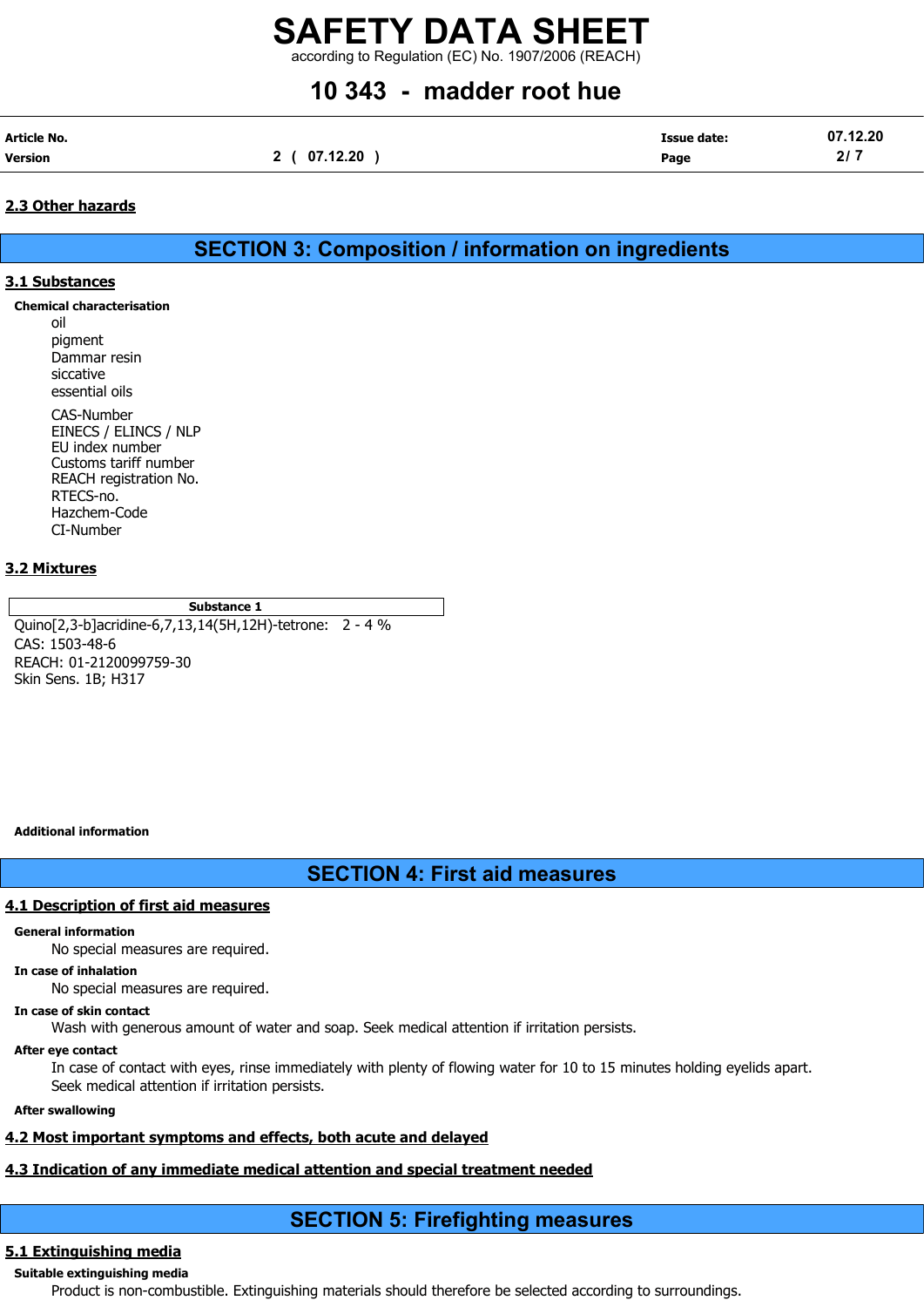according to Regulation (EC) No. 1907/2006 (REACH)

# 10 343 - madder root hue

| Article No. |          | Issue date: | 07.12.20 |
|-------------|----------|-------------|----------|
| Version     | 07.12.20 | Page        | 217      |

#### 2.3 Other hazards

SECTION 3: Composition / information on ingredients

#### 3.1 Substances

Chemical characterisation

oil pigment Dammar resin siccative essential oils

CAS-Number EINECS / ELINCS / NLP EU index number Customs tariff number REACH registration No. RTECS-no. Hazchem-Code CI-Number

#### 3.2 Mixtures

#### Substance 1

Quino[2,3-b]acridine-6,7,13,14(5H,12H)-tetrone: 2 - 4 % CAS: 1503-48-6 REACH: 01-2120099759-30 Skin Sens. 1B; H317

Additional information

## SECTION 4: First aid measures

#### 4.1 Description of first aid measures

#### General information

No special measures are required.

#### In case of inhalation

No special measures are required.

#### In case of skin contact

Wash with generous amount of water and soap. Seek medical attention if irritation persists.

#### After eye contact

In case of contact with eyes, rinse immediately with plenty of flowing water for 10 to 15 minutes holding eyelids apart. Seek medical attention if irritation persists.

#### After swallowing

## 4.2 Most important symptoms and effects, both acute and delayed

## 4.3 Indication of any immediate medical attention and special treatment needed

# SECTION 5: Firefighting measures

## 5.1 Extinguishing media

Suitable extinguishing media Product is non-combustible. Extinguishing materials should therefore be selected according to surroundings.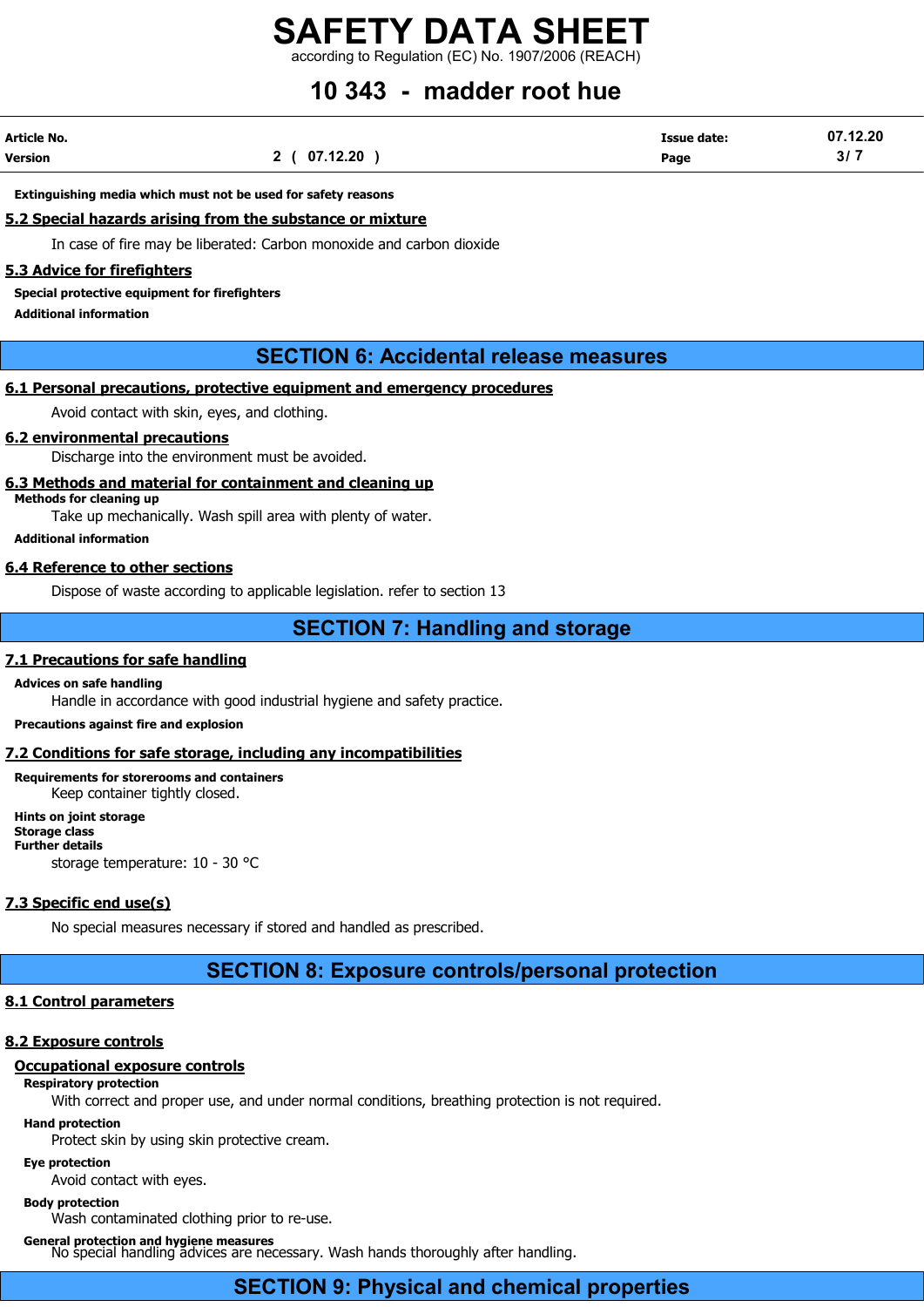according to Regulation (EC) No. 1907/2006 (REACH)

# 10 343 - madder root hue

| Article No. |              | <b>Issue date:</b> | 07.12.20        |
|-------------|--------------|--------------------|-----------------|
| Version     | 2 ( 07.12.20 | Page               | 31 <sub>1</sub> |

#### Extinguishing media which must not be used for safety reasons

#### 5.2 Special hazards arising from the substance or mixture

In case of fire may be liberated: Carbon monoxide and carbon dioxide

#### 5.3 Advice for firefighters

Special protective equipment for firefighters

Additional information

## SECTION 6: Accidental release measures

#### 6.1 Personal precautions, protective equipment and emergency procedures

Avoid contact with skin, eyes, and clothing.

#### 6.2 environmental precautions

Discharge into the environment must be avoided.

#### 6.3 Methods and material for containment and cleaning up

Methods for cleaning up

Take up mechanically. Wash spill area with plenty of water.

Additional information

#### 6.4 Reference to other sections

Dispose of waste according to applicable legislation. refer to section 13

#### SECTION 7: Handling and storage

#### 7.1 Precautions for safe handling

#### Advices on safe handling

Handle in accordance with good industrial hygiene and safety practice.

Precautions against fire and explosion

#### 7.2 Conditions for safe storage, including any incompatibilities

Requirements for storerooms and containers Keep container tightly closed.

Hints on joint storage Storage class Further details storage temperature: 10 - 30 °C

#### 7.3 Specific end use(s)

No special measures necessary if stored and handled as prescribed.

### SECTION 8: Exposure controls/personal protection

#### 8.1 Control parameters

#### 8.2 Exposure controls

#### Occupational exposure controls

Respiratory protection

With correct and proper use, and under normal conditions, breathing protection is not required.

#### Hand protection

Protect skin by using skin protective cream.

#### Eye protection

Avoid contact with eyes.

#### Body protection

Wash contaminated clothing prior to re-use.

#### General protection and hygiene measures

No special handling advices are necessary. Wash hands thoroughly after handling.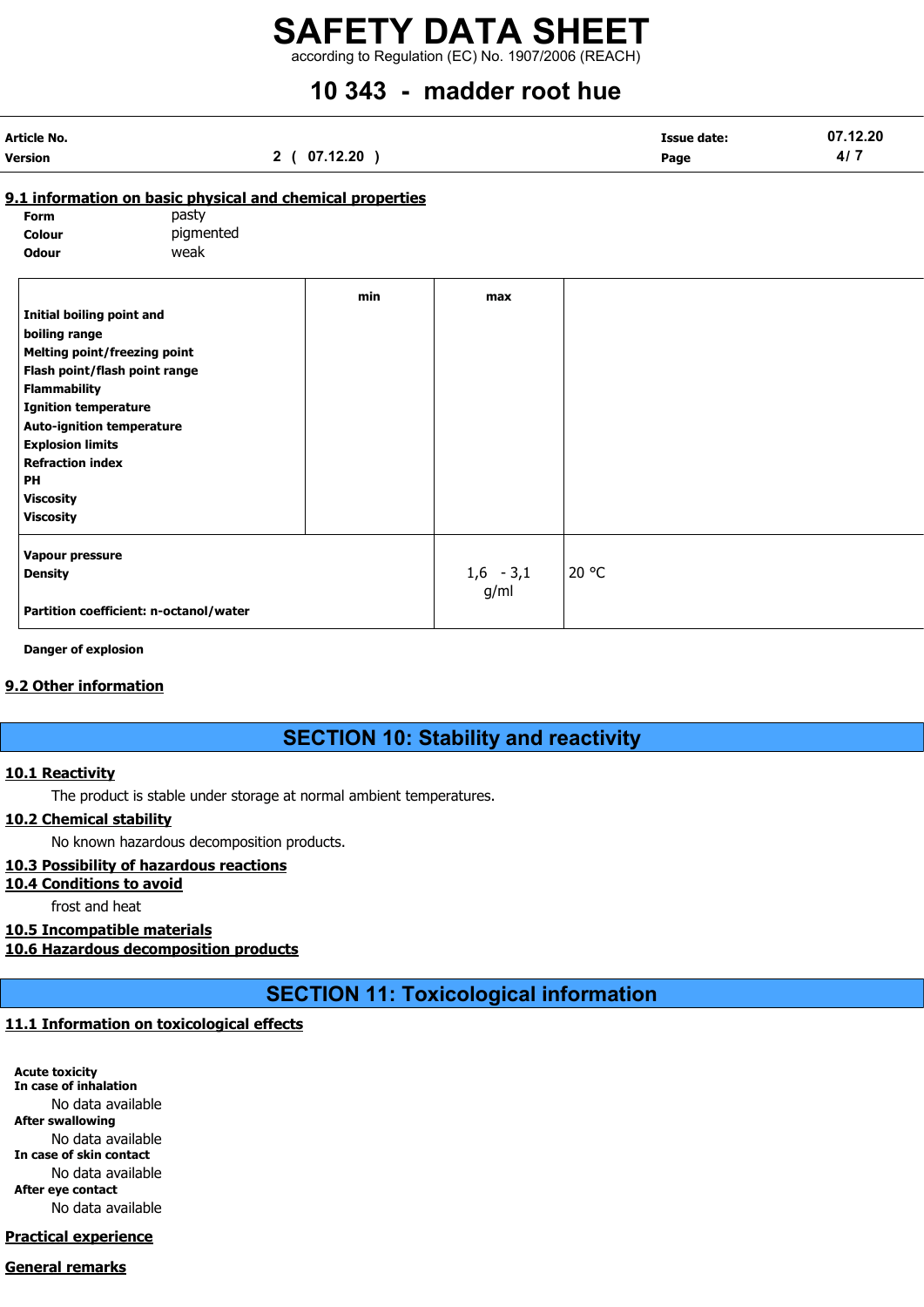according to Regulation (EC) No. 1907/2006 (REACH)

# 10 343 - madder root hue

| Article No. |              | <b>Issue date:</b> | 07.12.20 |
|-------------|--------------|--------------------|----------|
| Version     | 2 ( 07.12.20 | Page               | $41 -$   |

#### 9.1 information on basic physical and chemical properties

| Form         | pasty     |
|--------------|-----------|
| Colour       | pigmented |
| <b>Odour</b> | weak      |

|                                        | min | max         |       |
|----------------------------------------|-----|-------------|-------|
| <b>Initial boiling point and</b>       |     |             |       |
| boiling range                          |     |             |       |
| <b>Melting point/freezing point</b>    |     |             |       |
| Flash point/flash point range          |     |             |       |
| <b>Flammability</b>                    |     |             |       |
| <b>Ignition temperature</b>            |     |             |       |
| <b>Auto-ignition temperature</b>       |     |             |       |
| <b>Explosion limits</b>                |     |             |       |
| <b>Refraction index</b>                |     |             |       |
| PH                                     |     |             |       |
| <b>Viscosity</b>                       |     |             |       |
| <b>Viscosity</b>                       |     |             |       |
| Vapour pressure                        |     |             |       |
| <b>Density</b>                         |     | $1,6 - 3,1$ | 20 °C |
|                                        |     | g/ml        |       |
| Partition coefficient: n-octanol/water |     |             |       |
|                                        |     |             |       |

Danger of explosion

#### 9.2 Other information

## SECTION 10: Stability and reactivity

#### 10.1 Reactivity

The product is stable under storage at normal ambient temperatures.

#### 10.2 Chemical stability

No known hazardous decomposition products.

#### 10.3 Possibility of hazardous reactions

#### 10.4 Conditions to avoid

frost and heat

#### 10.5 Incompatible materials

10.6 Hazardous decomposition products

SECTION 11: Toxicological information

#### 11.1 Information on toxicological effects

Acute toxicity In case of inhalation No data available After swallowing No data available In case of skin contact No data available After eye contact No data available

#### Practical experience

#### General remarks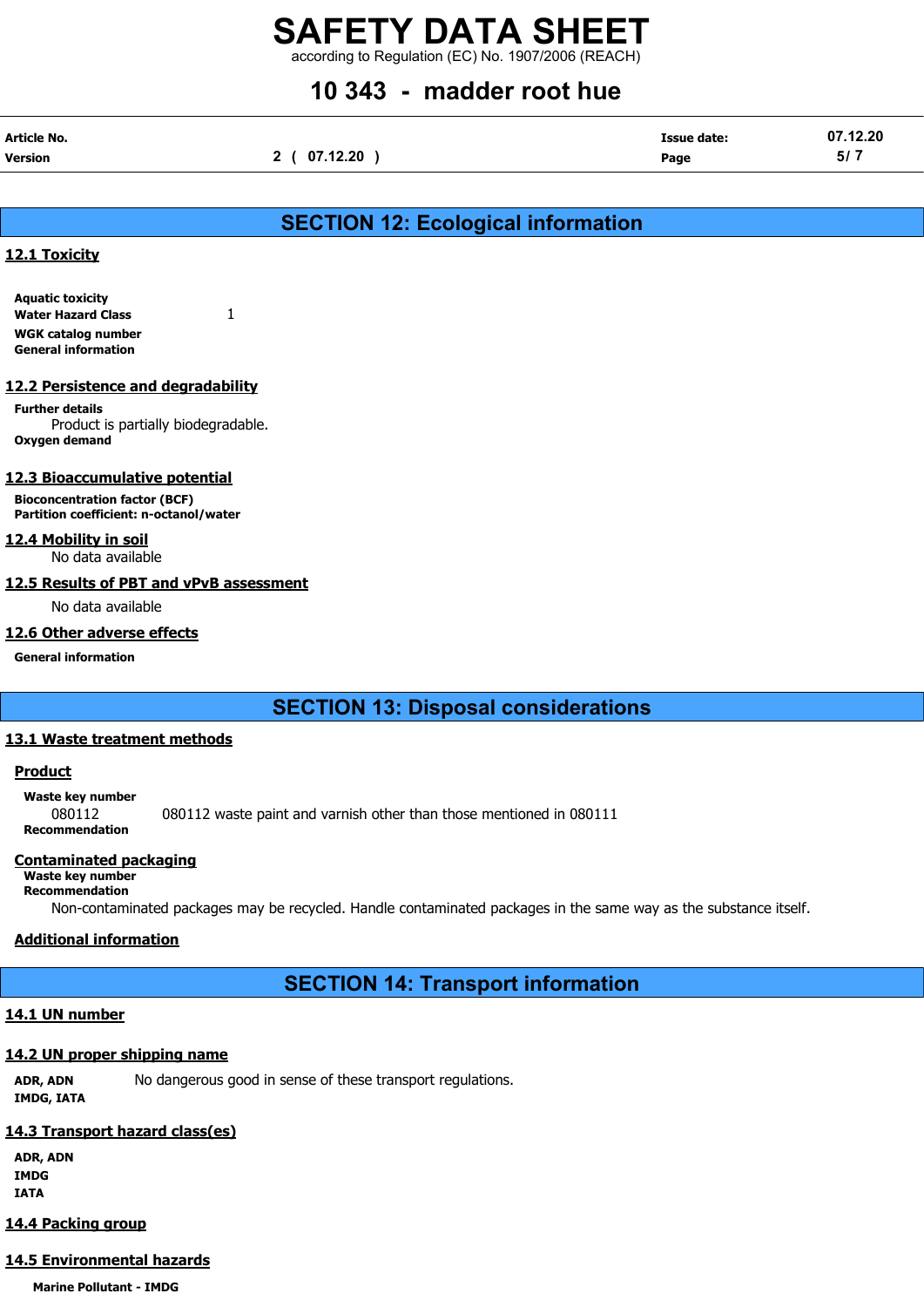according to Regulation (EC) No. 1907/2006 (REACH)

# 10 343 - madder root hue

| Article No. |              | <b>Issue date:</b> | 07.12.20 |
|-------------|--------------|--------------------|----------|
| Version     | 2 ( 07.12.20 | Page               | 5/7      |

# SECTION 12: Ecological information

#### 12.1 Toxicity

Aquatic toxicity Water Hazard Class 1 WGK catalog number General information

#### 12.2 Persistence and degradability

Further details Product is partially biodegradable. Oxygen demand

#### 12.3 Bioaccumulative potential

Bioconcentration factor (BCF) Partition coefficient: n-octanol/water

#### 12.4 Mobility in soil

No data available

#### 12.5 Results of PBT and vPvB assessment

No data available

#### 12.6 Other adverse effects

General information

# SECTION 13: Disposal considerations

#### 13.1 Waste treatment methods

#### **Product**

Waste key number 080112 080112 waste paint and varnish other than those mentioned in 080111 Recommendation

#### Contaminated packaging

#### Waste key number

Recommendation

Non-contaminated packages may be recycled. Handle contaminated packages in the same way as the substance itself.

## Additional information

SECTION 14: Transport information

## 14.1 UN number

### 14.2 UN proper shipping name

ADR, ADN No dangerous good in sense of these transport regulations. IMDG, IATA

# 14.3 Transport hazard class(es)

ADR, ADN IMDG IATA

## 14.4 Packing group

# 14.5 Environmental hazards

Marine Pollutant - IMDG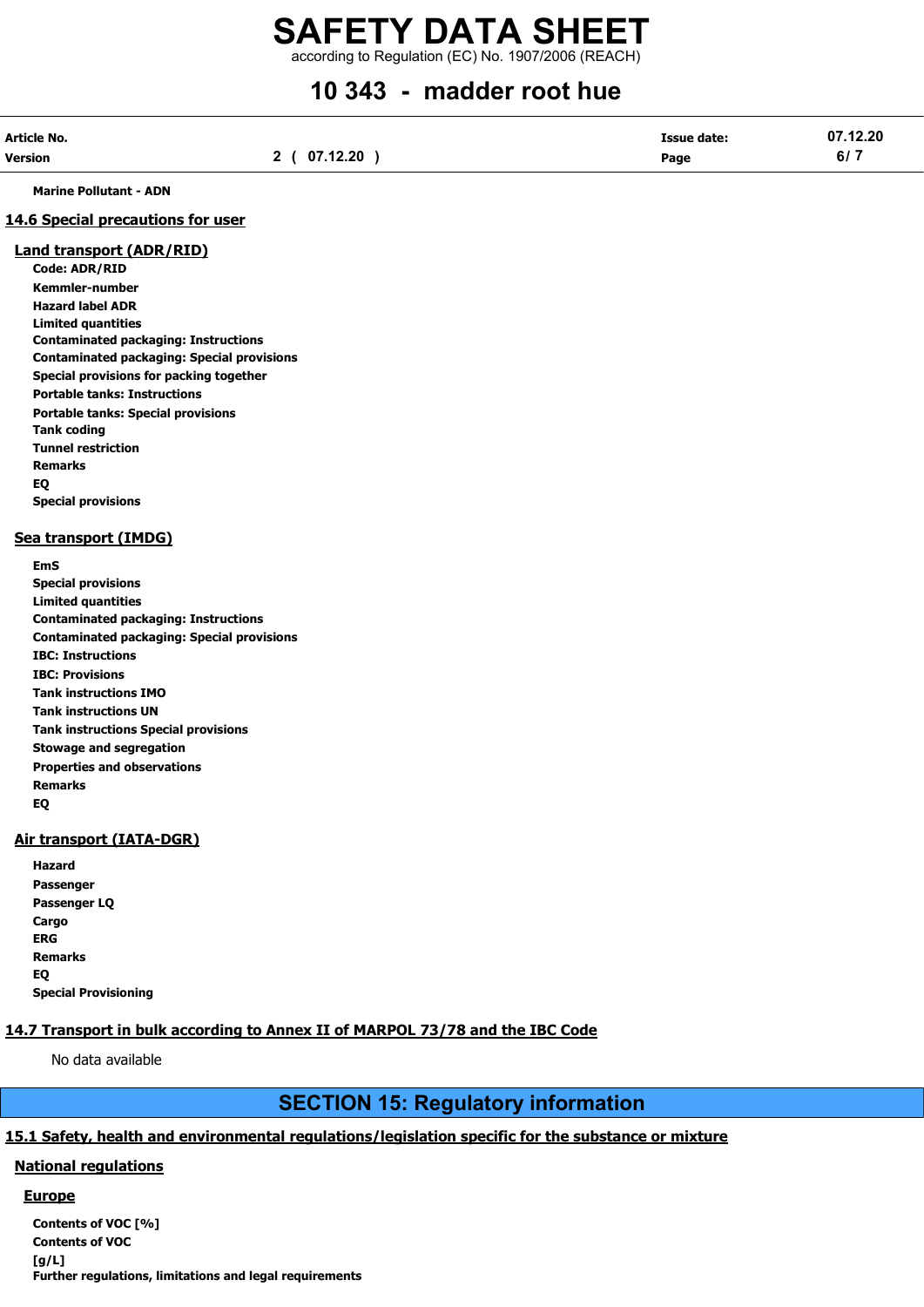# SAFETY DATA SHEET according to Regulation (EC) No. 1907/2006 (REACH)

# 10 343 - madder root hue

| Article No. |              | <b>Issue date:</b> | 07.12.20 |
|-------------|--------------|--------------------|----------|
| Version     | 2 ( 07.12.20 | Page               | 6/7      |

Marine Pollutant - ADN

#### 14.6 Special precautions for user

#### Land transport (ADR/RID)

Code: ADR/RID Kemmler-number Hazard label ADR Limited quantities Contaminated packaging: Instructions Contaminated packaging: Special provisions Special provisions for packing together Portable tanks: Instructions Portable tanks: Special provisions Tank coding Tunnel restriction Remarks EQ Special provisions

#### Sea transport (IMDG)

EmS

Special provisions Limited quantities Contaminated packaging: Instructions Contaminated packaging: Special provisions IBC: Instructions IBC: Provisions Tank instructions IMO Tank instructions UN Tank instructions Special provisions Stowage and segregation Properties and observations Remarks EQ

#### Air transport (IATA-DGR)

| Hazard                      |
|-----------------------------|
| Passenger                   |
| Passenger LQ                |
| Cargo                       |
| ERG                         |
| Remarks                     |
| EQ                          |
| <b>Special Provisioning</b> |

### 14.7 Transport in bulk according to Annex II of MARPOL 73/78 and the IBC Code

No data available

# SECTION 15: Regulatory information

#### 15.1 Safety, health and environmental regulations/legislation specific for the substance or mixture

#### National regulations

#### **Europe**

Contents of VOC [%] Contents of VOC [g/L] Further regulations, limitations and legal requirements